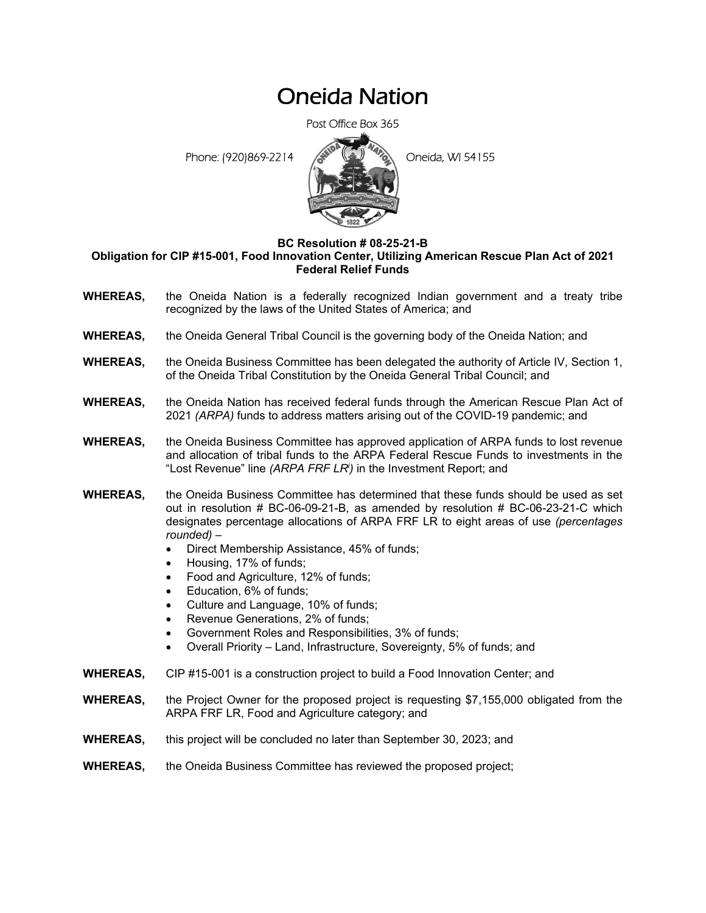# Oneida Nation

Post Office Box 365

Phone: (920)869-2214 **Coneta**, WI 54155



# **BC Resolution # 08-25-21-B**

#### **Obligation for CIP #15-001, Food Innovation Center, Utilizing American Rescue Plan Act of 2021 Federal Relief Funds**

- **WHEREAS,** the Oneida Nation is a federally recognized Indian government and a treaty tribe recognized by the laws of the United States of America; and
- **WHEREAS,** the Oneida General Tribal Council is the governing body of the Oneida Nation; and
- **WHEREAS,** the Oneida Business Committee has been delegated the authority of Article IV, Section 1, of the Oneida Tribal Constitution by the Oneida General Tribal Council; and
- **WHEREAS,** the Oneida Nation has received federal funds through the American Rescue Plan Act of 2021 *(ARPA)* funds to address matters arising out of the COVID-19 pandemic; and
- **WHEREAS,** the Oneida Business Committee has approved application of ARPA funds to lost revenue and allocation of tribal funds to the ARPA Federal Rescue Funds to investments in the "Lost Revenue" line *(ARPA FRF LRi )* in the Investment Report; and
- **WHEREAS,** the Oneida Business Committee has determined that these funds should be used as set out in resolution # BC-06-09-21-B, as amended by resolution # BC-06-23-21-C which designates percentage allocations of ARPA FRF LR to eight areas of use *(percentages rounded)* –
	- Direct Membership Assistance, 45% of funds;
	- Housing, 17% of funds;
	- Food and Agriculture, 12% of funds;
	- Education, 6% of funds;
	- Culture and Language, 10% of funds;
	- Revenue Generations, 2% of funds;
	- Government Roles and Responsibilities, 3% of funds;
	- Overall Priority Land, Infrastructure, Sovereignty, 5% of funds; and
- **WHEREAS,** CIP #15-001 is a construction project to build a Food Innovation Center; and
- **WHEREAS,** the Project Owner for the proposed project is requesting \$7,155,000 obligated from the ARPA FRF LR, Food and Agriculture category; and
- **WHEREAS,** this project will be concluded no later than September 30, 2023; and

## **WHEREAS,** the Oneida Business Committee has reviewed the proposed project;